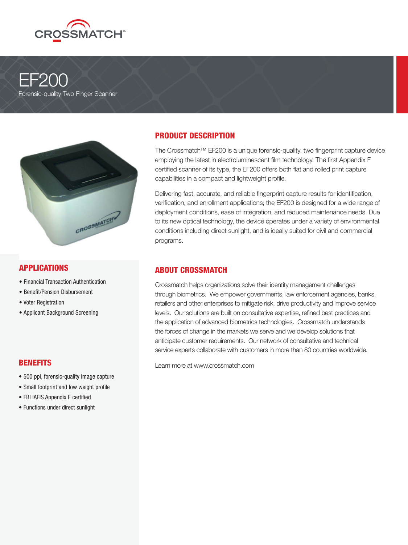





# APPLICATIONS

- Financial Transaction Authentication
- Benefit/Pension Disbursement
- Voter Registration
- Applicant Background Screening

#### **BENEFITS**

- 500 ppi, forensic-quality image capture
- Small footprint and low weight profile
- FBI IAFIS Appendix F certified
- Functions under direct sunlight

## PRODUCT DESCRIPTION

The Crossmatch™ EF200 is a unique forensic-quality, two fingerprint capture device employing the latest in electroluminescent film technology. The first Appendix F certified scanner of its type, the EF200 offers both flat and rolled print capture capabilities in a compact and lightweight profile.

Delivering fast, accurate, and reliable fingerprint capture results for identification, verification, and enrollment applications; the EF200 is designed for a wide range of deployment conditions, ease of integration, and reduced maintenance needs. Due to its new optical technology, the device operates under a variety of environmental conditions including direct sunlight, and is ideally suited for civil and commercial programs.

#### ABOUT CROSSMATCH

Crossmatch helps organizations solve their identity management challenges through biometrics. We empower governments, law enforcement agencies, banks, retailers and other enterprises to mitigate risk, drive productivity and improve service levels. Our solutions are built on consultative expertise, refined best practices and the application of advanced biometrics technologies. Crossmatch understands the forces of change in the markets we serve and we develop solutions that anticipate customer requirements. Our network of consultative and technical service experts collaborate with customers in more than 80 countries worldwide.

Learn more at www.crossmatch.com